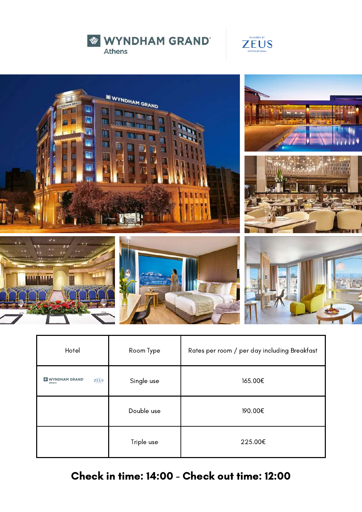





| Hotel                                  | Room Type  | Rates per room / per day including Breakfast |
|----------------------------------------|------------|----------------------------------------------|
| <b>WYNDHAM GRAND</b><br>ZEUS<br>Athens | Single use | 165.00€                                      |
|                                        | Double use | 190.00€                                      |
|                                        | Triple use | 225.00€                                      |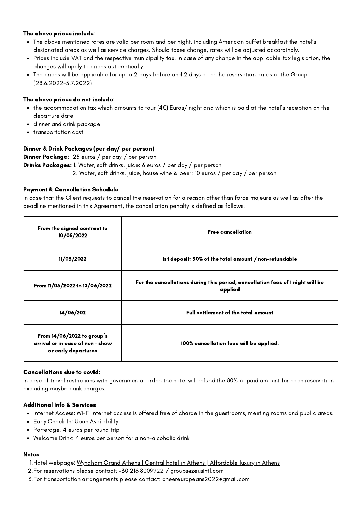- The above mentioned rates are valid per room and per night, including American buffet breakfast the hotel's designated areas as well as service charges. Should taxes change, rates will be adjusted accordingly.
- Prices include VAT and the respective municipality tax. In case of any change in the applicable tax legislation, the changes will apply to prices automatically.
- The prices will be applicable for up to 2 days before and 2 days after the reservation dates of the Group (28.6.2022-5.7.2022)

## The above prices do not include:

- the accommodation tax which amounts to four (4 $\epsilon$ ) Euros/ night and which is paid at the hotel's reception on the departure date
- dinner and drink package  $\bullet$
- $\bullet$ transportation cost

# Dinner & Drink Packages (per day/ per person)

Dinner Package: 25 euros / per day / per person Drinks Packages: 1. Water, soft drinks, juice: 6 euros / per day / per person 2. Water, soft drinks, juice, house wine & beer: 10 euros / per day / per person

# Payment & Cancellation Schedule

In case that the Client requests to cancel the reservation for a reason other than force majeure as well as after the deadline mentioned in this Agreement, the cancellation penalty is defined as follows:

| From the signed contract to<br>10/05/2022                                               | <b>Free cancellation</b>                                                                  |
|-----------------------------------------------------------------------------------------|-------------------------------------------------------------------------------------------|
| 11/05/2022                                                                              | 1st deposit: 50% of the total amount / non-refundable                                     |
| From 11/05/2022 to 13/06/2022                                                           | For the cancellations during this period, cancellation fees of 1 night will be<br>applied |
| 14/06/202                                                                               | <b>Full settlement of the total amount</b>                                                |
| From $14/06/2022$ to group's<br>arrival or in case of non - show<br>or early departures | 100% cancellation fees will be applied.                                                   |

#### Cancellations due to covid:

In case of travel restrictions with governmental order, the hotel will refund the 80% of paid amount for each reservation excluding maybe bank charges.

#### Additional Info & Services

- Internet Access: Wi-Fi internet access is offered free of charge in the guestrooms, meeting rooms and public areas.
- Early Check-In: Upon Availability
- Porterage: 4 euros per round trip
- Welcome Drink: 4 euros per person for a non-alcoholic drink

- 1.Hotel webpage: <u>Wyndham Grand Athens | Central hotel in Athens | [Affordable](https://www.wyndhamgrandathens.com/) luxury in Athens</u>
- For reservations please contact: +30 216 8009922 / [groups@zeusintl.com](mailto:groups@zeusintl.com) 2.
- For transportation arrangements please contact: [cheereuropeans2022@gmail.com](mailto:cheereuropeans2022@gmail.com) 3.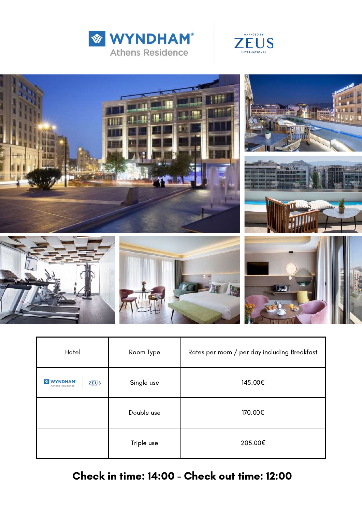





| Hotel                                                                                          | Room Type  | Rates per room / per day including Breakfast |
|------------------------------------------------------------------------------------------------|------------|----------------------------------------------|
| <b>HANASED BY</b><br><b>WYNDHAM</b><br>$\sqrt{\frac{1}{2}}$<br>ZEUS<br><b>Athens Residence</b> | Single use | 145.00€                                      |
|                                                                                                | Double use | 170.00€                                      |
|                                                                                                | Triple use | 205.00€                                      |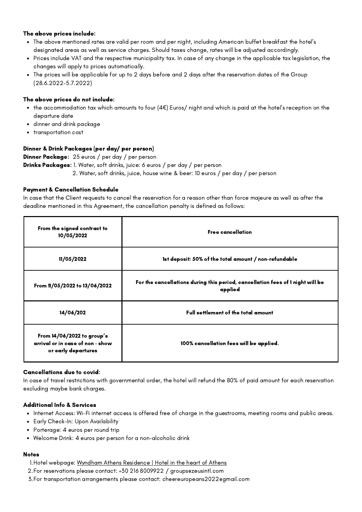- The above mentioned rates are valid per room and per night, including American buffet breakfast the hotel's designated areas as well as service charges. Should taxes change, rates will be adjusted accordingly.
- Prices include VAT and the respective municipality tax. In case of any change in the applicable tax legislation, the changes will apply to prices automatically.
- The prices will be applicable for up to 2 days before and 2 days after the reservation dates of the Group (28.6.2022-5.7.2022)

## The above prices do not include:

- the accommodation tax which amounts to four (4 $\epsilon$ ) Euros/ night and which is paid at the hotel's reception on the departure date
- dinner and drink package  $\bullet$
- $\bullet$ transportation cost

# Dinner & Drink Packages (per day/ per person)

Dinner Package: 25 euros / per day / per person Drinks Packages: 1. Water, soft drinks, juice: 6 euros / per day / per person 2. Water, soft drinks, juice, house wine & beer: 10 euros / per day / per person

# Payment & Cancellation Schedule

In case that the Client requests to cancel the reservation for a reason other than force majeure as well as after the deadline mentioned in this Agreement, the cancellation penalty is defined as follows:

| From the signed contract to<br>10/05/2022                                               | <b>Free cancellation</b>                                                                  |
|-----------------------------------------------------------------------------------------|-------------------------------------------------------------------------------------------|
| 11/05/2022                                                                              | 1st deposit: 50% of the total amount / non-refundable                                     |
| From 11/05/2022 to 13/06/2022                                                           | For the cancellations during this period, cancellation fees of 1 night will be<br>applied |
| 14/06/202                                                                               | <b>Full settlement of the total amount</b>                                                |
| From $14/06/2022$ to group's<br>arrival or in case of non - show<br>or early departures | 100% cancellation fees will be applied.                                                   |

#### Cancellations due to covid:

In case of travel restrictions with governmental order, the hotel will refund the 80% of paid amount for each reservation excluding maybe bank charges.

#### Additional Info & Services

- Internet Access: Wi-Fi internet access is offered free of charge in the guestrooms, meeting rooms and public areas.
- Early Check-In: Upon Availability
- Porterage: 4 euros per round trip
- Welcome Drink: 4 euros per person for a non-alcoholic drink

- 1.Hotel [webpage:](mailto:info@hermesroyaltransfers.com) <u>Wyndham Athens [Residence](https://www.wyndhamathensresidence.com/) | Hotel in the heart of Athens</u>
- For reservations please contact: +30 216 8009922 / [groups@zeusintl.com](mailto:groups@zeusintl.com) 2.
- For transportation arrangements please contact: [cheereuropeans2022@gmail.com](mailto:cheereuropeans2022@gmail.com) 3.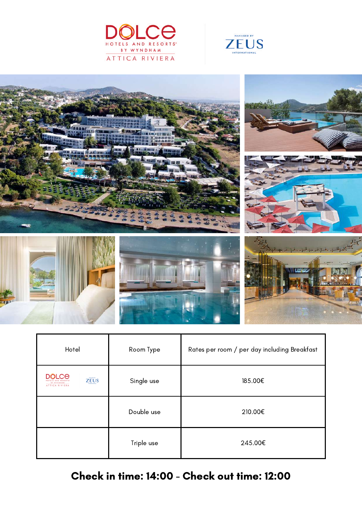





| Hotel                                                                            | Room Type  | Rates per room / per day including Breakfast |
|----------------------------------------------------------------------------------|------------|----------------------------------------------|
| <b>DOLCE</b><br>HOLGED BY<br><b>ZEUS</b><br><b>HTEENSTICHA</b><br>ATTICA RIVIERA | Single use | 185.00€                                      |
|                                                                                  | Double use | 210.00€                                      |
|                                                                                  | Triple use | 245.00€                                      |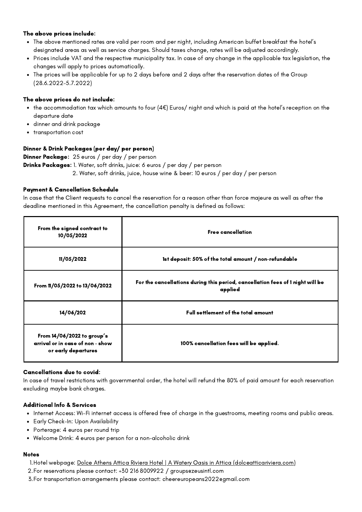- The above mentioned rates are valid per room and per night, including American buffet breakfast the hotel's designated areas as well as service charges. Should taxes change, rates will be adjusted accordingly.
- Prices include VAT and the respective municipality tax. In case of any change in the applicable tax legislation, the changes will apply to prices automatically.
- The prices will be applicable for up to 2 days before and 2 days after the reservation dates of the Group (28.6.2022-5.7.2022)

# The above prices do not include:

- the accommodation tax which amounts to four (4 $\epsilon$ ) Euros/ night and which is paid at the hotel's reception on the departure date
- dinner and drink package  $\bullet$
- $\bullet$ transportation cost

# Dinner & Drink Packages (per day/ per person)

Dinner Package: 25 euros / per day / per person Drinks Packages: 1. Water, soft drinks, juice: 6 euros / per day / per person 2. Water, soft drinks, juice, house wine & beer: 10 euros / per day / per person

# Payment & Cancellation Schedule

In case that the Client requests to cancel the reservation for a reason other than force majeure as well as after the deadline mentioned in this Agreement, the cancellation penalty is defined as follows:

| From the signed contract to<br>10/05/2022                                               | <b>Free cancellation</b>                                                                  |
|-----------------------------------------------------------------------------------------|-------------------------------------------------------------------------------------------|
| 11/05/2022                                                                              | 1st deposit: 50% of the total amount / non-refundable                                     |
| From 11/05/2022 to 13/06/2022                                                           | For the cancellations during this period, cancellation fees of 1 night will be<br>applied |
| 14/06/202                                                                               | <b>Full settlement of the total amount</b>                                                |
| From $14/06/2022$ to group's<br>arrival or in case of non - show<br>or early departures | 100% cancellation fees will be applied.                                                   |

#### Cancellations due to covid:

In case of travel restrictions with governmental order, the hotel will refund the 80% of paid amount for each reservation excluding maybe bank charges.

#### Additional Info & Services

- Internet Access: Wi-Fi internet access is offered free of charge in the guestrooms, meeting rooms and public areas.
- Early Check-In: Upon Availability
- Porterage: 4 euros per round trip
- Welcome Drink: 4 euros per person for a non-alcoholic drink

- <u>1. Hotel [webpage:](mailto:info@hermesroyaltransfers.com) <u>Dolce Athens Attica Riviera Hotel | A Watery Oasis in Attica [\(dolceatticariviera.com\)](https://www.dolceatticariviera.com/)</u></u>
- For reservations please contact: +30 216 8009922 / [groups@zeusintl.com](mailto:groups@zeusintl.com) 2.
- For transportation arrangements please contact: [cheereuropeans2022@gmail.com](mailto:cheereuropeans2022@gmail.com) 3.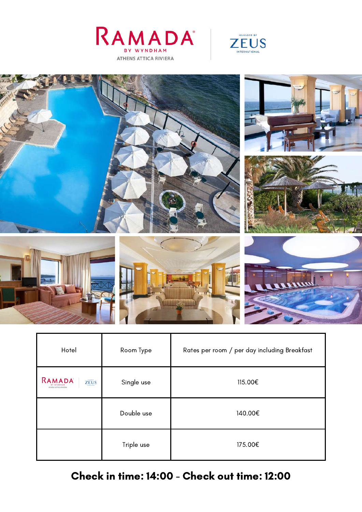





| Hotel                                                             | Room Type  | Rates per room / per day including Breakfast |
|-------------------------------------------------------------------|------------|----------------------------------------------|
| RAMADA<br>$Z\overline{E} \overline{U} S$<br>ATHENS ATTICA RIVIERA | Single use | 115.00€                                      |
|                                                                   | Double use | 140.00€                                      |
|                                                                   | Triple use | 175.00€                                      |